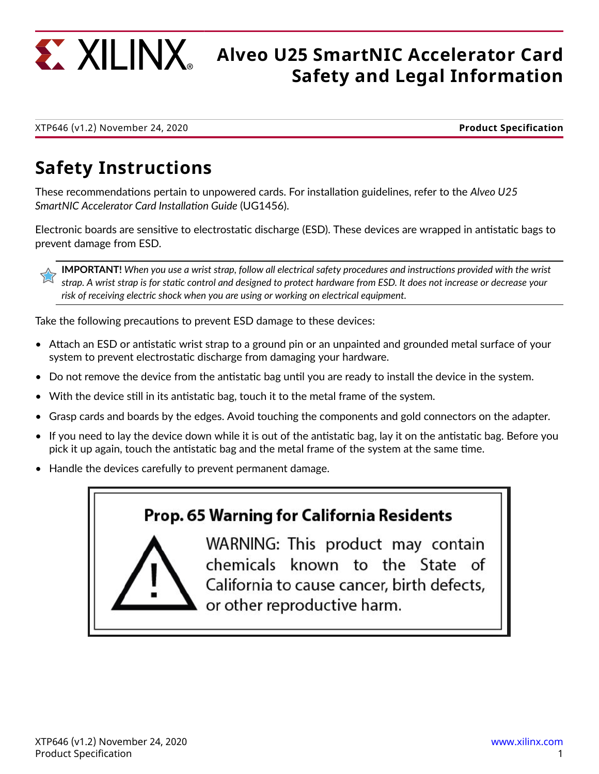

# **All INX** Alveo U25 SmartNIC Accelerator Card **Safety and Legal Information**

XTP646 (v1.2) November 24, 2020 **Product Specification**

## **Safety Instructions**

These recommendations pertain to unpowered cards. For installation guidelines, refer to the *Alveo U25 SmartNIC Accelerator Card Installation Guide* (UG1456).

Electronic boards are sensitive to electrostatic discharge (ESD). These devices are wrapped in antistatic bags to prevent damage from ESD.

**IMPORTANT!** *When you use a wrist strap, follow all electrical safety procedures and instructions provided with the wrist strap. A wrist strap is for static control and designed to protect hardware from ESD. It does not increase or decrease your risk of receiving electric shock when you are using or working on electrical equipment.*

Take the following precautions to prevent ESD damage to these devices:

- Attach an ESD or antistatic wrist strap to a ground pin or an unpainted and grounded metal surface of your system to prevent electrostatic discharge from damaging your hardware.
- Do not remove the device from the antistatic bag until you are ready to install the device in the system.
- With the device still in its antistatic bag, touch it to the metal frame of the system.
- Grasp cards and boards by the edges. Avoid touching the components and gold connectors on the adapter.
- If you need to lay the device down while it is out of the antistatic bag, lay it on the antistatic bag. Before you pick it up again, touch the antistatic bag and the metal frame of the system at the same time.
- Handle the devices carefully to prevent permanent damage.

### Prop. 65 Warning for California Residents

WARNING: This product may contain chemicals known to the State of California to cause cancer, birth defects, or other reproductive harm.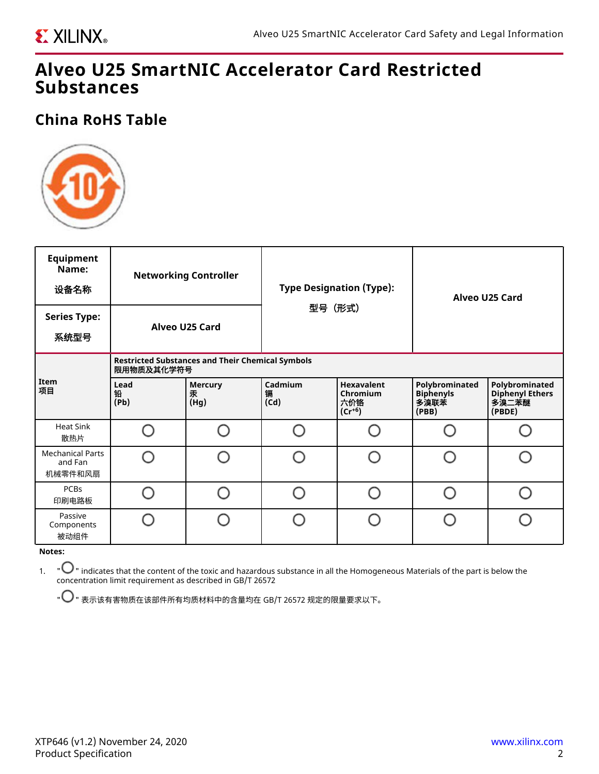### **Alveo U25 SmartNIC Accelerator Card Restricted Substances**

### **China RoHS Table**



| <b>Equipment</b><br>Name:<br>设备名称             | <b>Networking Controller</b>                                          |                             | <b>Type Designation (Type):</b><br>型号 (形式) |                                                     | Alveo U25 Card                                      |                                                             |  |  |  |
|-----------------------------------------------|-----------------------------------------------------------------------|-----------------------------|--------------------------------------------|-----------------------------------------------------|-----------------------------------------------------|-------------------------------------------------------------|--|--|--|
| <b>Series Type:</b><br>系统型号                   | Alveo U25 Card                                                        |                             |                                            |                                                     |                                                     |                                                             |  |  |  |
| Item<br>项目                                    | <b>Restricted Substances and Their Chemical Symbols</b><br>限用物质及其化学符号 |                             |                                            |                                                     |                                                     |                                                             |  |  |  |
|                                               | Lead<br>铅<br>(Pb)                                                     | <b>Mercury</b><br>汞<br>(Hg) | Cadmium<br>镉<br>(Cd)                       | <b>Hexavalent</b><br>Chromium<br>六价铬<br>$(Cr^{+6})$ | Polybrominated<br><b>Biphenyls</b><br>多溴联苯<br>(PBB) | Polybrominated<br><b>Diphenyl Ethers</b><br>多溴二苯醚<br>(PBDE) |  |  |  |
| <b>Heat Sink</b><br>散热片                       |                                                                       |                             |                                            |                                                     |                                                     |                                                             |  |  |  |
| <b>Mechanical Parts</b><br>and Fan<br>机械零件和风扇 |                                                                       |                             |                                            |                                                     |                                                     |                                                             |  |  |  |
| PCBs<br>印刷电路板                                 |                                                                       |                             |                                            | n                                                   |                                                     |                                                             |  |  |  |
| Passive<br>Components<br>被动组件<br>Notor:       | ∩                                                                     |                             |                                            | n                                                   |                                                     |                                                             |  |  |  |

#### **Notes:**

1. " " indicates that the content of the toxic and hazardous substance in all the Homogeneous Materials of the part is below the concentration limit requirement as described in GB/T 26572

 $\mathsf{P} \bigodot$ " 表示该有害物质在该部件所有均质材料中的含量均在 GB/T 26572 规定的限量要求以下。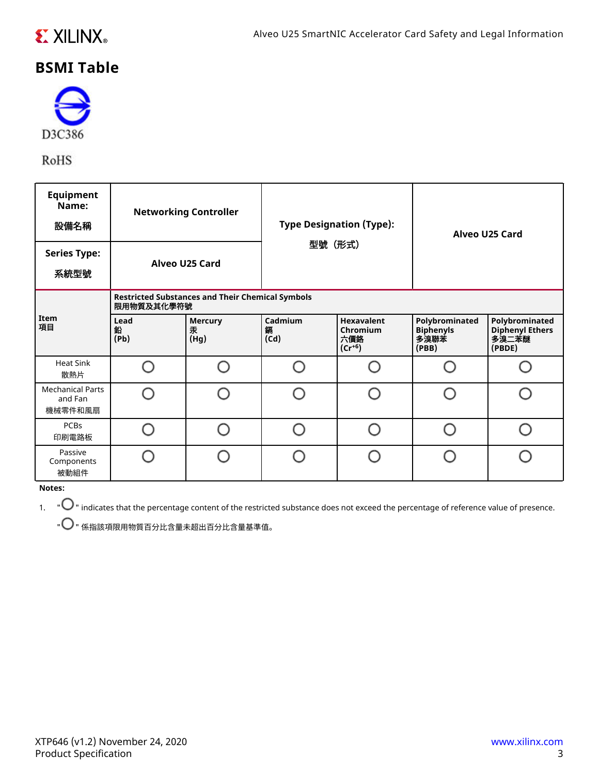

### **BSMI Table**



RoHS

| <b>Equipment</b><br>Name:<br>設備名稱<br><b>Series Type:</b><br>系統型號 | <b>Networking Controller</b><br>Alveo U25 Card                        |                             | <b>Type Designation (Type):</b><br>型號(形式) |                                                     | Alveo U25 Card                                      |                                                             |  |  |  |
|------------------------------------------------------------------|-----------------------------------------------------------------------|-----------------------------|-------------------------------------------|-----------------------------------------------------|-----------------------------------------------------|-------------------------------------------------------------|--|--|--|
| Item<br>項目                                                       | <b>Restricted Substances and Their Chemical Symbols</b><br>限用物質及其化學符號 |                             |                                           |                                                     |                                                     |                                                             |  |  |  |
|                                                                  | Lead<br>鉛<br>(Pb)                                                     | <b>Mercury</b><br>汞<br>(Hg) | Cadmium<br>鑷<br>(Cd)                      | <b>Hexavalent</b><br>Chromium<br>六價鉻<br>$(Cr^{+6})$ | Polybrominated<br><b>Biphenyls</b><br>多溴聯苯<br>(PBB) | Polybrominated<br><b>Diphenyl Ethers</b><br>多溴二苯醚<br>(PBDE) |  |  |  |
| <b>Heat Sink</b><br>散熱片                                          |                                                                       |                             |                                           |                                                     |                                                     |                                                             |  |  |  |
| <b>Mechanical Parts</b><br>and Fan<br>機械零件和風扇                    |                                                                       | ◠                           |                                           |                                                     | ∩                                                   |                                                             |  |  |  |
| <b>PCBs</b><br>印刷電路板                                             |                                                                       |                             |                                           |                                                     |                                                     |                                                             |  |  |  |
| Passive<br>Components<br>被動組件                                    |                                                                       |                             |                                           |                                                     |                                                     |                                                             |  |  |  |

**Notes:**

 $1.$  " $\bigcirc$ " indicates that the percentage content of the restricted substance does not exceed the percentage of reference value of presence.

 $\mathsf{P}^\bullet$  " 係指該項限用物質百分比含量未超出百分比含量基準值。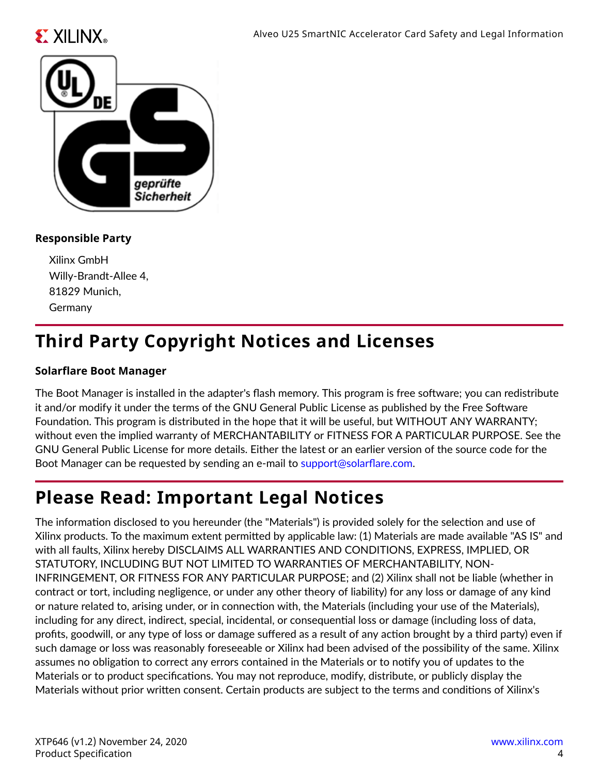



#### **Responsible Party**

Xilinx GmbH Willy-Brandt-Allee 4, 81829 Munich, Germany

## **Third Party Copyright Notices and Licenses**

#### **Solarflare Boot Manager**

The Boot Manager is installed in the adapter's flash memory. This program is free software; you can redistribute it and/or modify it under the terms of the GNU General Public License as published by the Free Software Foundation. This program is distributed in the hope that it will be useful, but WITHOUT ANY WARRANTY; without even the implied warranty of MERCHANTABILITY or FITNESS FOR A PARTICULAR PURPOSE. See the GNU General Public License for more details. Either the latest or an earlier version of the source code for the Boot Manager can be requested by sending an e-mail to [support@solarflare.com.](mailto:support@solarflare.com)

## **Please Read: Important Legal Notices**

The information disclosed to you hereunder (the "Materials") is provided solely for the selection and use of Xilinx products. To the maximum extent permitted by applicable law: (1) Materials are made available "AS IS" and with all faults, Xilinx hereby DISCLAIMS ALL WARRANTIES AND CONDITIONS, EXPRESS, IMPLIED, OR STATUTORY, INCLUDING BUT NOT LIMITED TO WARRANTIES OF MERCHANTABILITY, NON-INFRINGEMENT, OR FITNESS FOR ANY PARTICULAR PURPOSE; and (2) Xilinx shall not be liable (whether in contract or tort, including negligence, or under any other theory of liability) for any loss or damage of any kind or nature related to, arising under, or in connection with, the Materials (including your use of the Materials), including for any direct, indirect, special, incidental, or consequential loss or damage (including loss of data, profits, goodwill, or any type of loss or damage suffered as a result of any action brought by a third party) even if such damage or loss was reasonably foreseeable or Xilinx had been advised of the possibility of the same. Xilinx assumes no obligation to correct any errors contained in the Materials or to notify you of updates to the Materials or to product specifications. You may not reproduce, modify, distribute, or publicly display the Materials without prior written consent. Certain products are subject to the terms and conditions of Xilinx's